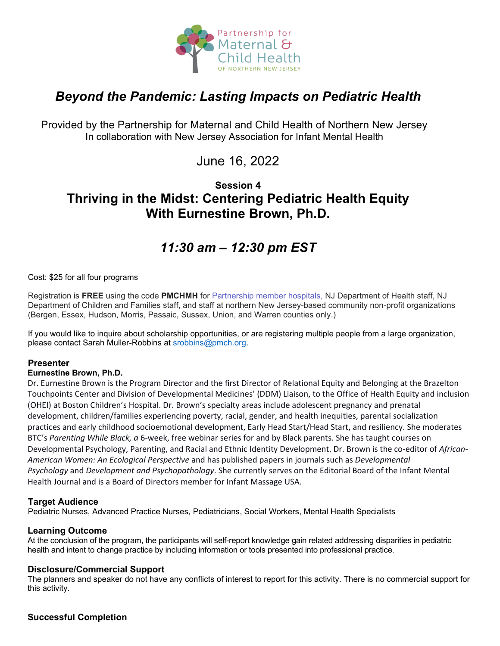

# *Beyond the Pandemic: Lasting Impacts on Pediatric Health*

Provided by the Partnership for Maternal and Child Health of Northern New Jersey In collaboration with New Jersey Association for Infant Mental Health

June 16, 2022

# **Session 4 Thriving in the Midst: Centering Pediatric Health Equity With Eurnestine Brown, Ph.D.**

# *11:30 am – 12:30 pm EST*

#### Cost: \$25 for all four programs

Registration is **FREE** using the code **PMCHMH** for Partnership [member hospitals,](https://www.partnershipmch.org/about-us/member-hospitals/) NJ Department of Health staff, NJ Department of Children and Families staff, and staff at northern New Jersey-based community non-profit organizations (Bergen, Essex, Hudson, Morris, Passaic, Sussex, Union, and Warren counties only.)

If you would like to inquire about scholarship opportunities, or are registering multiple people from a large organization, please contact Sarah Muller-Robbins at [srobbins@pmch.org.](mailto:srobbins@pmch.org)

# **Presenter**

# **Eurnestine Brown, Ph.D.**

Dr. Eurnestine Brown is the Program Director and the first Director of Relational Equity and Belonging at the Brazelton Touchpoints Center and Division of Developmental Medicines' (DDM) Liaison, to the Office of Health Equity and inclusion (OHEI) at Boston Children's Hospital. Dr. Brown's specialty areas include adolescent pregnancy and prenatal development, children/families experiencing poverty, racial, gender, and health inequities, parental socialization practices and early childhood socioemotional development, Early Head Start/Head Start, and resiliency. She moderates BTC's *Parenting While Black, a* 6-week, free webinar series for and by Black parents. She has taught courses on Developmental Psychology, Parenting, and Racial and Ethnic Identity Development. Dr. Brown is the co-editor of *African-American Women: An Ecological Perspective* and has published papers in journals such as *Developmental Psychology* and *Development and Psychopathology*. She currently serves on the Editorial Board of the Infant Mental Health Journal and is a Board of Directors member for Infant Massage USA.

# **Target Audience**

Pediatric Nurses, Advanced Practice Nurses, Pediatricians, Social Workers, Mental Health Specialists

# **Learning Outcome**

At the conclusion of the program, the participants will self-report knowledge gain related addressing disparities in pediatric health and intent to change practice by including information or tools presented into professional practice.

#### **Disclosure/Commercial Support**

The planners and speaker do not have any conflicts of interest to report for this activity. There is no commercial support for this activity.